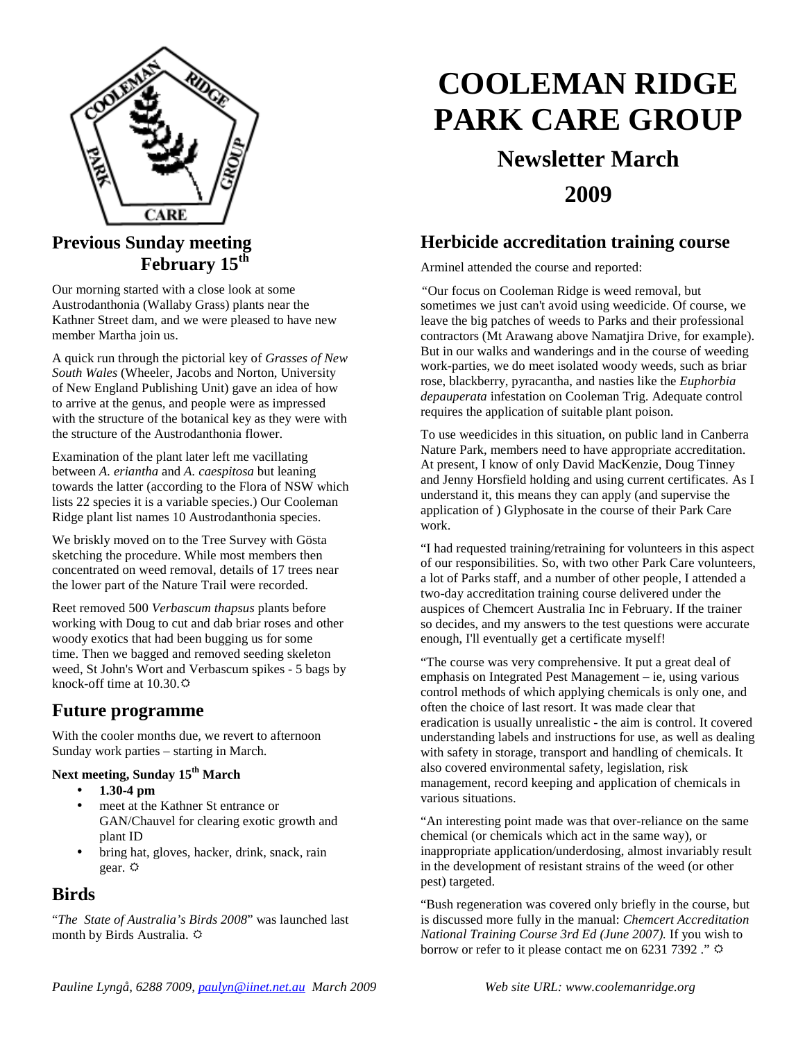

# **Previous Sunday meeting February 15th**

Our morning started with a close look at some Austrodanthonia (Wallaby Grass) plants near the Kathner Street dam, and we were pleased to have new member Martha join us.

A quick run through the pictorial key of *Grasses of New South Wales* (Wheeler, Jacobs and Norton, University of New England Publishing Unit) gave an idea of how to arrive at the genus, and people were as impressed with the structure of the botanical key as they were with the structure of the Austrodanthonia flower.

Examination of the plant later left me vacillating between *A. eriantha* and *A. caespitosa* but leaning towards the latter (according to the Flora of NSW which lists 22 species it is a variable species.) Our Cooleman Ridge plant list names 10 Austrodanthonia species.

We briskly moved on to the Tree Survey with Gösta sketching the procedure. While most members then concentrated on weed removal, details of 17 trees near the lower part of the Nature Trail were recorded.

Reet removed 500 *Verbascum thapsus* plants before working with Doug to cut and dab briar roses and other woody exotics that had been bugging us for some time. Then we bagged and removed seeding skeleton weed, St John's Wort and Verbascum spikes - 5 bags by knock-off time at  $10.30 \div$ 

### **Future programme**

With the cooler months due, we revert to afternoon Sunday work parties – starting in March.

#### **Next meeting, Sunday 15th March**

- **1.30-4 pm**
- meet at the Kathner St entrance or GAN/Chauvel for clearing exotic growth and plant ID
- bring hat, gloves, hacker, drink, snack, rain gear.  $\Leftrightarrow$

### **Birds**

"*The State of Australia's Birds 2008*" was launched last month by Birds Australia.

# **COOLEMAN RIDGE PARK CARE GROUP**

# **Newsletter March 2009**

## **Herbicide accreditation training course**

Arminel attended the course and reported:

*"*Our focus on Cooleman Ridge is weed removal, but sometimes we just can't avoid using weedicide. Of course, we leave the big patches of weeds to Parks and their professional contractors (Mt Arawang above Namatjira Drive, for example). But in our walks and wanderings and in the course of weeding work-parties, we do meet isolated woody weeds, such as briar rose, blackberry, pyracantha, and nasties like the *Euphorbia depauperata* infestation on Cooleman Trig. Adequate control requires the application of suitable plant poison.

To use weedicides in this situation, on public land in Canberra Nature Park, members need to have appropriate accreditation. At present, I know of only David MacKenzie, Doug Tinney and Jenny Horsfield holding and using current certificates. As I understand it, this means they can apply (and supervise the application of ) Glyphosate in the course of their Park Care work.

"I had requested training/retraining for volunteers in this aspect of our responsibilities. So, with two other Park Care volunteers, a lot of Parks staff, and a number of other people, I attended a two-day accreditation training course delivered under the auspices of Chemcert Australia Inc in February. If the trainer so decides, and my answers to the test questions were accurate enough, I'll eventually get a certificate myself!

"The course was very comprehensive. It put a great deal of emphasis on Integrated Pest Management – ie, using various control methods of which applying chemicals is only one, and often the choice of last resort. It was made clear that eradication is usually unrealistic - the aim is control. It covered understanding labels and instructions for use, as well as dealing with safety in storage, transport and handling of chemicals. It also covered environmental safety, legislation, risk management, record keeping and application of chemicals in various situations.

"An interesting point made was that over-reliance on the same chemical (or chemicals which act in the same way), or inappropriate application/underdosing, almost invariably result in the development of resistant strains of the weed (or other pest) targeted.

"Bush regeneration was covered only briefly in the course, but is discussed more fully in the manual: *Chemcert Accreditation National Training Course 3rd Ed (June 2007).* If you wish to borrow or refer to it please contact me on 6231 7392 ."  $\ddot{\varphi}$